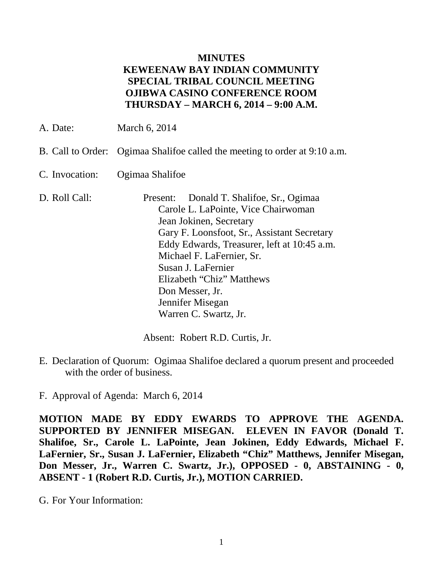#### **MINUTES KEWEENAW BAY INDIAN COMMUNITY SPECIAL TRIBAL COUNCIL MEETING OJIBWA CASINO CONFERENCE ROOM THURSDAY – MARCH 6, 2014 – 9:00 A.M.**

- A. Date: March 6, 2014
- B. Call to Order: Ogimaa Shalifoe called the meeting to order at 9:10 a.m.
- C. Invocation: Ogimaa Shalifoe
- D. Roll Call: Present: Donald T. Shalifoe, Sr., Ogimaa Carole L. LaPointe, Vice Chairwoman Jean Jokinen, Secretary Gary F. Loonsfoot, Sr., Assistant Secretary Eddy Edwards, Treasurer, left at 10:45 a.m. Michael F. LaFernier, Sr. Susan J. LaFernier Elizabeth "Chiz" Matthews Don Messer, Jr. Jennifer Misegan Warren C. Swartz, Jr.

Absent: Robert R.D. Curtis, Jr.

E. Declaration of Quorum: Ogimaa Shalifoe declared a quorum present and proceeded with the order of business.

F. Approval of Agenda: March 6, 2014

**MOTION MADE BY EDDY EWARDS TO APPROVE THE AGENDA. SUPPORTED BY JENNIFER MISEGAN. ELEVEN IN FAVOR (Donald T. Shalifoe, Sr., Carole L. LaPointe, Jean Jokinen, Eddy Edwards, Michael F. LaFernier, Sr., Susan J. LaFernier, Elizabeth "Chiz" Matthews, Jennifer Misegan, Don Messer, Jr., Warren C. Swartz, Jr.), OPPOSED - 0, ABSTAINING - 0, ABSENT - 1 (Robert R.D. Curtis, Jr.), MOTION CARRIED.**

G. For Your Information: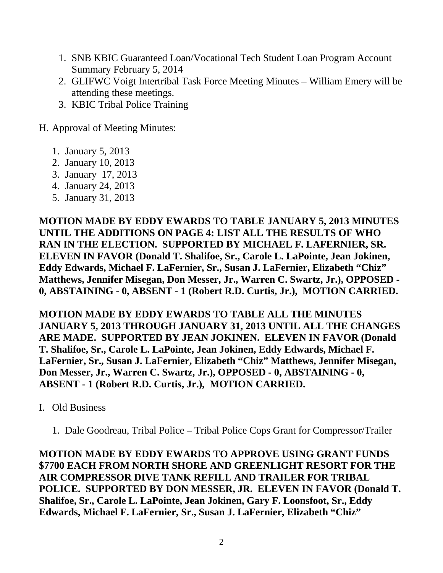- 1. SNB KBIC Guaranteed Loan/Vocational Tech Student Loan Program Account Summary February 5, 2014
- 2. GLIFWC Voigt Intertribal Task Force Meeting Minutes William Emery will be attending these meetings.
- 3. KBIC Tribal Police Training

H. Approval of Meeting Minutes:

- 1. January 5, 2013
- 2. January 10, 2013
- 3. January 17, 2013
- 4. January 24, 2013
- 5. January 31, 2013

**MOTION MADE BY EDDY EWARDS TO TABLE JANUARY 5, 2013 MINUTES UNTIL THE ADDITIONS ON PAGE 4: LIST ALL THE RESULTS OF WHO RAN IN THE ELECTION. SUPPORTED BY MICHAEL F. LAFERNIER, SR. ELEVEN IN FAVOR (Donald T. Shalifoe, Sr., Carole L. LaPointe, Jean Jokinen, Eddy Edwards, Michael F. LaFernier, Sr., Susan J. LaFernier, Elizabeth "Chiz" Matthews, Jennifer Misegan, Don Messer, Jr., Warren C. Swartz, Jr.), OPPOSED - 0, ABSTAINING - 0, ABSENT - 1 (Robert R.D. Curtis, Jr.), MOTION CARRIED.**

**MOTION MADE BY EDDY EWARDS TO TABLE ALL THE MINUTES JANUARY 5, 2013 THROUGH JANUARY 31, 2013 UNTIL ALL THE CHANGES ARE MADE. SUPPORTED BY JEAN JOKINEN. ELEVEN IN FAVOR (Donald T. Shalifoe, Sr., Carole L. LaPointe, Jean Jokinen, Eddy Edwards, Michael F. LaFernier, Sr., Susan J. LaFernier, Elizabeth "Chiz" Matthews, Jennifer Misegan, Don Messer, Jr., Warren C. Swartz, Jr.), OPPOSED - 0, ABSTAINING - 0, ABSENT - 1 (Robert R.D. Curtis, Jr.), MOTION CARRIED.**

- I. Old Business
	- 1. Dale Goodreau, Tribal Police Tribal Police Cops Grant for Compressor/Trailer

**MOTION MADE BY EDDY EWARDS TO APPROVE USING GRANT FUNDS \$7700 EACH FROM NORTH SHORE AND GREENLIGHT RESORT FOR THE AIR COMPRESSOR DIVE TANK REFILL AND TRAILER FOR TRIBAL POLICE. SUPPORTED BY DON MESSER, JR. ELEVEN IN FAVOR (Donald T. Shalifoe, Sr., Carole L. LaPointe, Jean Jokinen, Gary F. Loonsfoot, Sr., Eddy Edwards, Michael F. LaFernier, Sr., Susan J. LaFernier, Elizabeth "Chiz"**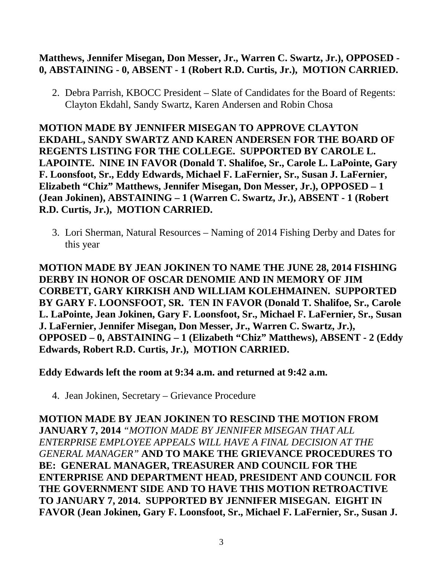#### **Matthews, Jennifer Misegan, Don Messer, Jr., Warren C. Swartz, Jr.), OPPOSED - 0, ABSTAINING - 0, ABSENT - 1 (Robert R.D. Curtis, Jr.), MOTION CARRIED.**

2. Debra Parrish, KBOCC President – Slate of Candidates for the Board of Regents: Clayton Ekdahl, Sandy Swartz, Karen Andersen and Robin Chosa

**MOTION MADE BY JENNIFER MISEGAN TO APPROVE CLAYTON EKDAHL, SANDY SWARTZ AND KAREN ANDERSEN FOR THE BOARD OF REGENTS LISTING FOR THE COLLEGE. SUPPORTED BY CAROLE L. LAPOINTE. NINE IN FAVOR (Donald T. Shalifoe, Sr., Carole L. LaPointe, Gary F. Loonsfoot, Sr., Eddy Edwards, Michael F. LaFernier, Sr., Susan J. LaFernier, Elizabeth "Chiz" Matthews, Jennifer Misegan, Don Messer, Jr.), OPPOSED – 1 (Jean Jokinen), ABSTAINING – 1 (Warren C. Swartz, Jr.), ABSENT - 1 (Robert R.D. Curtis, Jr.), MOTION CARRIED.**

3. Lori Sherman, Natural Resources – Naming of 2014 Fishing Derby and Dates for this year

**MOTION MADE BY JEAN JOKINEN TO NAME THE JUNE 28, 2014 FISHING DERBY IN HONOR OF OSCAR DENOMIE AND IN MEMORY OF JIM CORBETT, GARY KIRKISH AND WILLIAM KOLEHMAINEN. SUPPORTED BY GARY F. LOONSFOOT, SR. TEN IN FAVOR (Donald T. Shalifoe, Sr., Carole L. LaPointe, Jean Jokinen, Gary F. Loonsfoot, Sr., Michael F. LaFernier, Sr., Susan J. LaFernier, Jennifer Misegan, Don Messer, Jr., Warren C. Swartz, Jr.), OPPOSED – 0, ABSTAINING – 1 (Elizabeth "Chiz" Matthews), ABSENT - 2 (Eddy Edwards, Robert R.D. Curtis, Jr.), MOTION CARRIED.**

**Eddy Edwards left the room at 9:34 a.m. and returned at 9:42 a.m.**

4. Jean Jokinen, Secretary – Grievance Procedure

**MOTION MADE BY JEAN JOKINEN TO RESCIND THE MOTION FROM JANUARY 7, 2014** *"MOTION MADE BY JENNIFER MISEGAN THAT ALL ENTERPRISE EMPLOYEE APPEALS WILL HAVE A FINAL DECISION AT THE GENERAL MANAGER"* **AND TO MAKE THE GRIEVANCE PROCEDURES TO BE: GENERAL MANAGER, TREASURER AND COUNCIL FOR THE ENTERPRISE AND DEPARTMENT HEAD, PRESIDENT AND COUNCIL FOR THE GOVERNMENT SIDE AND TO HAVE THIS MOTION RETROACTIVE TO JANUARY 7, 2014. SUPPORTED BY JENNIFER MISEGAN. EIGHT IN FAVOR (Jean Jokinen, Gary F. Loonsfoot, Sr., Michael F. LaFernier, Sr., Susan J.**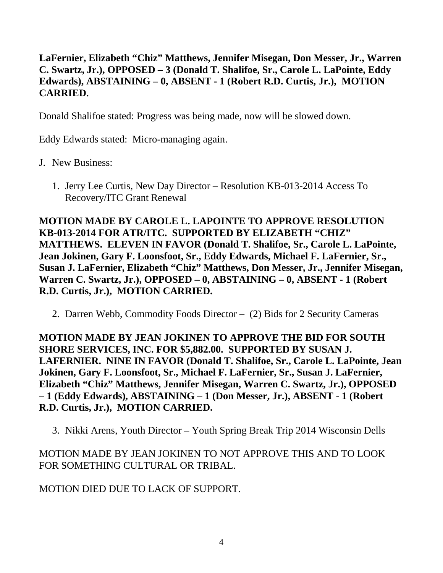## **LaFernier, Elizabeth "Chiz" Matthews, Jennifer Misegan, Don Messer, Jr., Warren C. Swartz, Jr.), OPPOSED – 3 (Donald T. Shalifoe, Sr., Carole L. LaPointe, Eddy Edwards), ABSTAINING – 0, ABSENT - 1 (Robert R.D. Curtis, Jr.), MOTION CARRIED.**

Donald Shalifoe stated: Progress was being made, now will be slowed down.

Eddy Edwards stated: Micro-managing again.

- J. New Business:
	- 1. Jerry Lee Curtis, New Day Director Resolution KB-013-2014 Access To Recovery/ITC Grant Renewal

**MOTION MADE BY CAROLE L. LAPOINTE TO APPROVE RESOLUTION KB-013-2014 FOR ATR/ITC. SUPPORTED BY ELIZABETH "CHIZ" MATTHEWS. ELEVEN IN FAVOR (Donald T. Shalifoe, Sr., Carole L. LaPointe, Jean Jokinen, Gary F. Loonsfoot, Sr., Eddy Edwards, Michael F. LaFernier, Sr., Susan J. LaFernier, Elizabeth "Chiz" Matthews, Don Messer, Jr., Jennifer Misegan, Warren C. Swartz, Jr.), OPPOSED – 0, ABSTAINING – 0, ABSENT - 1 (Robert R.D. Curtis, Jr.), MOTION CARRIED.**

2. Darren Webb, Commodity Foods Director – (2) Bids for 2 Security Cameras

**MOTION MADE BY JEAN JOKINEN TO APPROVE THE BID FOR SOUTH SHORE SERVICES, INC. FOR \$5,882.00. SUPPORTED BY SUSAN J. LAFERNIER. NINE IN FAVOR (Donald T. Shalifoe, Sr., Carole L. LaPointe, Jean Jokinen, Gary F. Loonsfoot, Sr., Michael F. LaFernier, Sr., Susan J. LaFernier, Elizabeth "Chiz" Matthews, Jennifer Misegan, Warren C. Swartz, Jr.), OPPOSED – 1 (Eddy Edwards), ABSTAINING – 1 (Don Messer, Jr.), ABSENT - 1 (Robert R.D. Curtis, Jr.), MOTION CARRIED.**

3. Nikki Arens, Youth Director – Youth Spring Break Trip 2014 Wisconsin Dells

MOTION MADE BY JEAN JOKINEN TO NOT APPROVE THIS AND TO LOOK FOR SOMETHING CULTURAL OR TRIBAL.

MOTION DIED DUE TO LACK OF SUPPORT.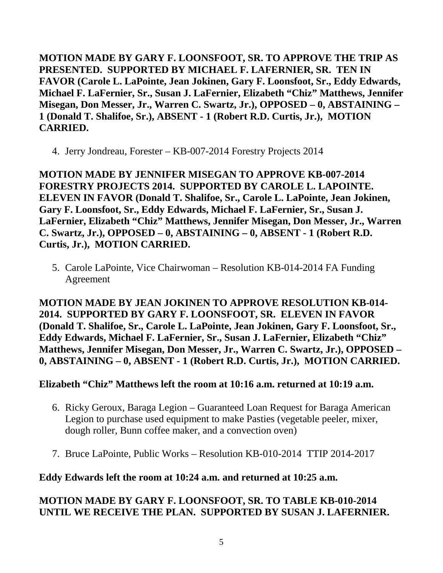**MOTION MADE BY GARY F. LOONSFOOT, SR. TO APPROVE THE TRIP AS PRESENTED. SUPPORTED BY MICHAEL F. LAFERNIER, SR. TEN IN FAVOR (Carole L. LaPointe, Jean Jokinen, Gary F. Loonsfoot, Sr., Eddy Edwards, Michael F. LaFernier, Sr., Susan J. LaFernier, Elizabeth "Chiz" Matthews, Jennifer Misegan, Don Messer, Jr., Warren C. Swartz, Jr.), OPPOSED – 0, ABSTAINING – 1 (Donald T. Shalifoe, Sr.), ABSENT - 1 (Robert R.D. Curtis, Jr.), MOTION CARRIED.**

4. Jerry Jondreau, Forester – KB-007-2014 Forestry Projects 2014

**MOTION MADE BY JENNIFER MISEGAN TO APPROVE KB-007-2014 FORESTRY PROJECTS 2014. SUPPORTED BY CAROLE L. LAPOINTE. ELEVEN IN FAVOR (Donald T. Shalifoe, Sr., Carole L. LaPointe, Jean Jokinen, Gary F. Loonsfoot, Sr., Eddy Edwards, Michael F. LaFernier, Sr., Susan J. LaFernier, Elizabeth "Chiz" Matthews, Jennifer Misegan, Don Messer, Jr., Warren C. Swartz, Jr.), OPPOSED – 0, ABSTAINING – 0, ABSENT - 1 (Robert R.D. Curtis, Jr.), MOTION CARRIED.**

5. Carole LaPointe, Vice Chairwoman – Resolution KB-014-2014 FA Funding Agreement

**MOTION MADE BY JEAN JOKINEN TO APPROVE RESOLUTION KB-014- 2014. SUPPORTED BY GARY F. LOONSFOOT, SR. ELEVEN IN FAVOR (Donald T. Shalifoe, Sr., Carole L. LaPointe, Jean Jokinen, Gary F. Loonsfoot, Sr., Eddy Edwards, Michael F. LaFernier, Sr., Susan J. LaFernier, Elizabeth "Chiz" Matthews, Jennifer Misegan, Don Messer, Jr., Warren C. Swartz, Jr.), OPPOSED – 0, ABSTAINING – 0, ABSENT - 1 (Robert R.D. Curtis, Jr.), MOTION CARRIED.**

## **Elizabeth "Chiz" Matthews left the room at 10:16 a.m. returned at 10:19 a.m.**

- 6. Ricky Geroux, Baraga Legion Guaranteed Loan Request for Baraga American Legion to purchase used equipment to make Pasties (vegetable peeler, mixer, dough roller, Bunn coffee maker, and a convection oven)
- 7. Bruce LaPointe, Public Works Resolution KB-010-2014 TTIP 2014-2017

## **Eddy Edwards left the room at 10:24 a.m. and returned at 10:25 a.m.**

# **MOTION MADE BY GARY F. LOONSFOOT, SR. TO TABLE KB-010-2014 UNTIL WE RECEIVE THE PLAN. SUPPORTED BY SUSAN J. LAFERNIER.**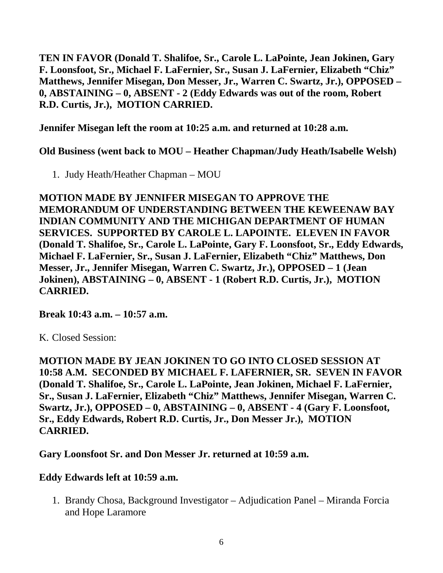**TEN IN FAVOR (Donald T. Shalifoe, Sr., Carole L. LaPointe, Jean Jokinen, Gary F. Loonsfoot, Sr., Michael F. LaFernier, Sr., Susan J. LaFernier, Elizabeth "Chiz" Matthews, Jennifer Misegan, Don Messer, Jr., Warren C. Swartz, Jr.), OPPOSED – 0, ABSTAINING – 0, ABSENT - 2 (Eddy Edwards was out of the room, Robert R.D. Curtis, Jr.), MOTION CARRIED.**

**Jennifer Misegan left the room at 10:25 a.m. and returned at 10:28 a.m.**

**Old Business (went back to MOU – Heather Chapman/Judy Heath/Isabelle Welsh)**

1. Judy Heath/Heather Chapman – MOU

**MOTION MADE BY JENNIFER MISEGAN TO APPROVE THE MEMORANDUM OF UNDERSTANDING BETWEEN THE KEWEENAW BAY INDIAN COMMUNITY AND THE MICHIGAN DEPARTMENT OF HUMAN SERVICES. SUPPORTED BY CAROLE L. LAPOINTE. ELEVEN IN FAVOR (Donald T. Shalifoe, Sr., Carole L. LaPointe, Gary F. Loonsfoot, Sr., Eddy Edwards, Michael F. LaFernier, Sr., Susan J. LaFernier, Elizabeth "Chiz" Matthews, Don Messer, Jr., Jennifer Misegan, Warren C. Swartz, Jr.), OPPOSED – 1 (Jean Jokinen), ABSTAINING – 0, ABSENT - 1 (Robert R.D. Curtis, Jr.), MOTION CARRIED.**

**Break 10:43 a.m. – 10:57 a.m.**

K. Closed Session:

**MOTION MADE BY JEAN JOKINEN TO GO INTO CLOSED SESSION AT 10:58 A.M. SECONDED BY MICHAEL F. LAFERNIER, SR. SEVEN IN FAVOR (Donald T. Shalifoe, Sr., Carole L. LaPointe, Jean Jokinen, Michael F. LaFernier, Sr., Susan J. LaFernier, Elizabeth "Chiz" Matthews, Jennifer Misegan, Warren C. Swartz, Jr.), OPPOSED – 0, ABSTAINING – 0, ABSENT - 4 (Gary F. Loonsfoot, Sr., Eddy Edwards, Robert R.D. Curtis, Jr., Don Messer Jr.), MOTION CARRIED.**

**Gary Loonsfoot Sr. and Don Messer Jr. returned at 10:59 a.m.**

**Eddy Edwards left at 10:59 a.m.**

1. Brandy Chosa, Background Investigator – Adjudication Panel – Miranda Forcia and Hope Laramore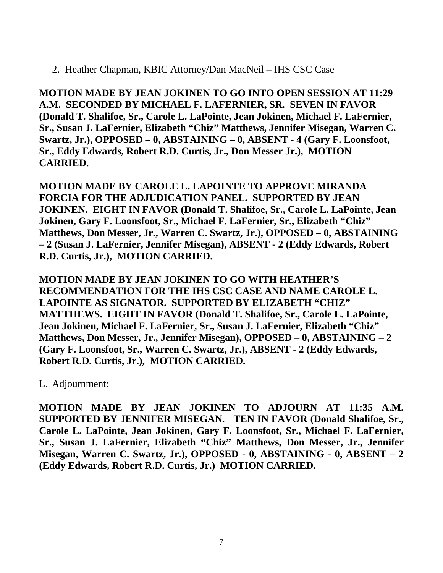2. Heather Chapman, KBIC Attorney/Dan MacNeil – IHS CSC Case

**MOTION MADE BY JEAN JOKINEN TO GO INTO OPEN SESSION AT 11:29 A.M. SECONDED BY MICHAEL F. LAFERNIER, SR. SEVEN IN FAVOR (Donald T. Shalifoe, Sr., Carole L. LaPointe, Jean Jokinen, Michael F. LaFernier, Sr., Susan J. LaFernier, Elizabeth "Chiz" Matthews, Jennifer Misegan, Warren C. Swartz, Jr.), OPPOSED – 0, ABSTAINING – 0, ABSENT - 4 (Gary F. Loonsfoot, Sr., Eddy Edwards, Robert R.D. Curtis, Jr., Don Messer Jr.), MOTION CARRIED.**

**MOTION MADE BY CAROLE L. LAPOINTE TO APPROVE MIRANDA FORCIA FOR THE ADJUDICATION PANEL. SUPPORTED BY JEAN JOKINEN. EIGHT IN FAVOR (Donald T. Shalifoe, Sr., Carole L. LaPointe, Jean Jokinen, Gary F. Loonsfoot, Sr., Michael F. LaFernier, Sr., Elizabeth "Chiz" Matthews, Don Messer, Jr., Warren C. Swartz, Jr.), OPPOSED – 0, ABSTAINING – 2 (Susan J. LaFernier, Jennifer Misegan), ABSENT - 2 (Eddy Edwards, Robert R.D. Curtis, Jr.), MOTION CARRIED.**

**MOTION MADE BY JEAN JOKINEN TO GO WITH HEATHER'S RECOMMENDATION FOR THE IHS CSC CASE AND NAME CAROLE L. LAPOINTE AS SIGNATOR. SUPPORTED BY ELIZABETH "CHIZ" MATTHEWS. EIGHT IN FAVOR (Donald T. Shalifoe, Sr., Carole L. LaPointe, Jean Jokinen, Michael F. LaFernier, Sr., Susan J. LaFernier, Elizabeth "Chiz" Matthews, Don Messer, Jr., Jennifer Misegan), OPPOSED – 0, ABSTAINING – 2 (Gary F. Loonsfoot, Sr., Warren C. Swartz, Jr.), ABSENT - 2 (Eddy Edwards, Robert R.D. Curtis, Jr.), MOTION CARRIED.**

L. Adjournment:

**MOTION MADE BY JEAN JOKINEN TO ADJOURN AT 11:35 A.M. SUPPORTED BY JENNIFER MISEGAN. TEN IN FAVOR (Donald Shalifoe, Sr., Carole L. LaPointe, Jean Jokinen, Gary F. Loonsfoot, Sr., Michael F. LaFernier, Sr., Susan J. LaFernier, Elizabeth "Chiz" Matthews, Don Messer, Jr., Jennifer Misegan, Warren C. Swartz, Jr.), OPPOSED - 0, ABSTAINING - 0, ABSENT – 2 (Eddy Edwards, Robert R.D. Curtis, Jr.) MOTION CARRIED.**